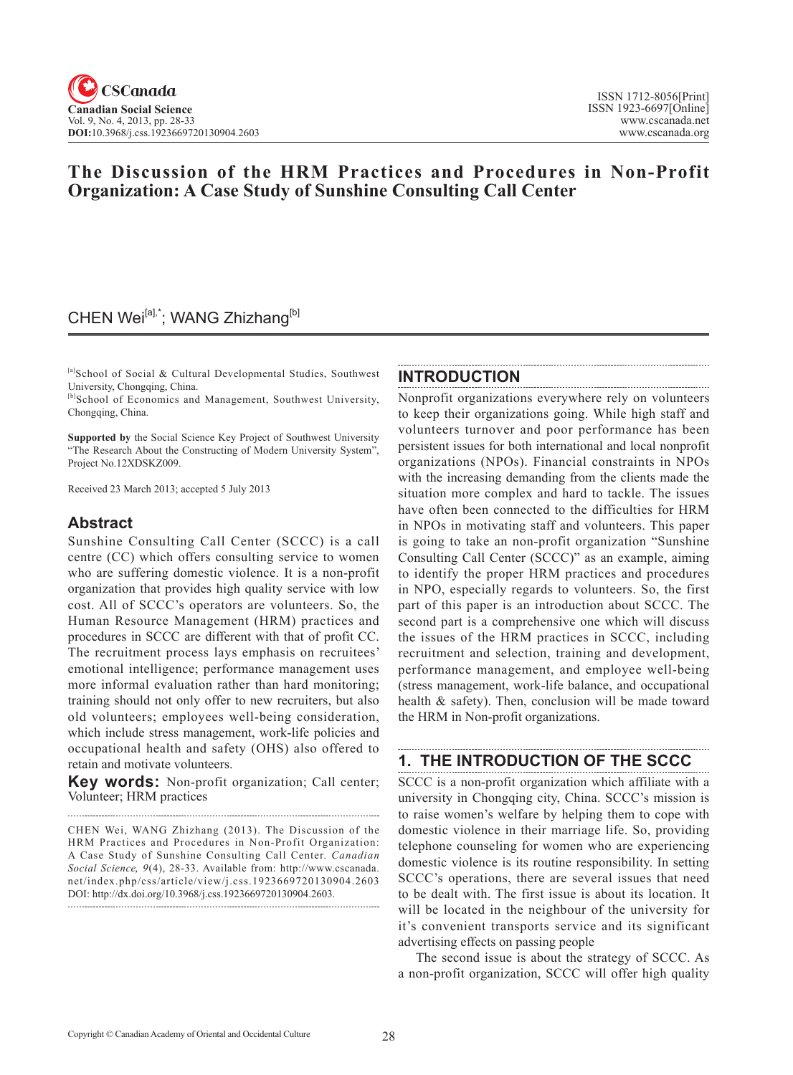# **The Discussion of the HRM Practices and Procedures in Non-Profit Organization: A Case Study of Sunshine Consulting Call Center**

# CHEN Wei<sup>[a],\*</sup>; WANG Zhizhang<sup>[b]</sup>

[a]School of Social & Cultural Developmental Studies, Southwest University, Chongqing, China.

[b]School of Economics and Management, Southwest University, Chongqing, China.

**Supported by** the Social Science Key Project of Southwest University "The Research About the Constructing of Modern University System", Project No.12XDSKZ009.

Received 23 March 2013; accepted 5 July 2013

### **Abstract**

Sunshine Consulting Call Center (SCCC) is a call centre (CC) which offers consulting service to women who are suffering domestic violence. It is a non-profit organization that provides high quality service with low cost. All of SCCC's operators are volunteers. So, the Human Resource Management (HRM) practices and procedures in SCCC are different with that of profit CC. The recruitment process lays emphasis on recruitees' emotional intelligence; performance management uses more informal evaluation rather than hard monitoring; training should not only offer to new recruiters, but also old volunteers; employees well-being consideration, which include stress management, work-life policies and occupational health and safety (OHS) also offered to retain and motivate volunteers.

**Key words:** Non-profit organization; Call center; Volunteer; HRM practices

CHEN Wei, WANG Zhizhang (2013). The Discussion of the HRM Practices and Procedures in Non-Profit Organization: A Case Study of Sunshine Consulting Call Center. *Canadian Social Science*, 9(4), 28-33. Available from: http://www.cscanada. net/index.php/css/article/view/j.css.1923669720130904.2603 DOI: http://dx.doi.org/10.3968/j.css.1923669720130904.2603.

### **INTRODUCTION**

Nonprofit organizations everywhere rely on volunteers to keep their organizations going. While high staff and volunteers turnover and poor performance has been persistent issues for both international and local nonprofit organizations (NPOs). Financial constraints in NPOs with the increasing demanding from the clients made the situation more complex and hard to tackle. The issues have often been connected to the difficulties for HRM in NPOs in motivating staff and volunteers. This paper is going to take an non-profit organization "Sunshine Consulting Call Center (SCCC)" as an example, aiming to identify the proper HRM practices and procedures in NPO, especially regards to volunteers. So, the first part of this paper is an introduction about SCCC. The second part is a comprehensive one which will discuss the issues of the HRM practices in SCCC, including recruitment and selection, training and development, performance management, and employee well-being (stress management, work-life balance, and occupational health & safety). Then, conclusion will be made toward the HRM in Non-profit organizations.

# **1. THE INTRODUCTION OF THE SCCC**

SCCC is a non-profit organization which affiliate with a university in Chongqing city, China. SCCC's mission is to raise women's welfare by helping them to cope with domestic violence in their marriage life. So, providing telephone counseling for women who are experiencing domestic violence is its routine responsibility. In setting SCCC's operations, there are several issues that need to be dealt with. The first issue is about its location. It will be located in the neighbour of the university for it's convenient transports service and its significant advertising effects on passing people

The second issue is about the strategy of SCCC. As a non-profit organization, SCCC will offer high quality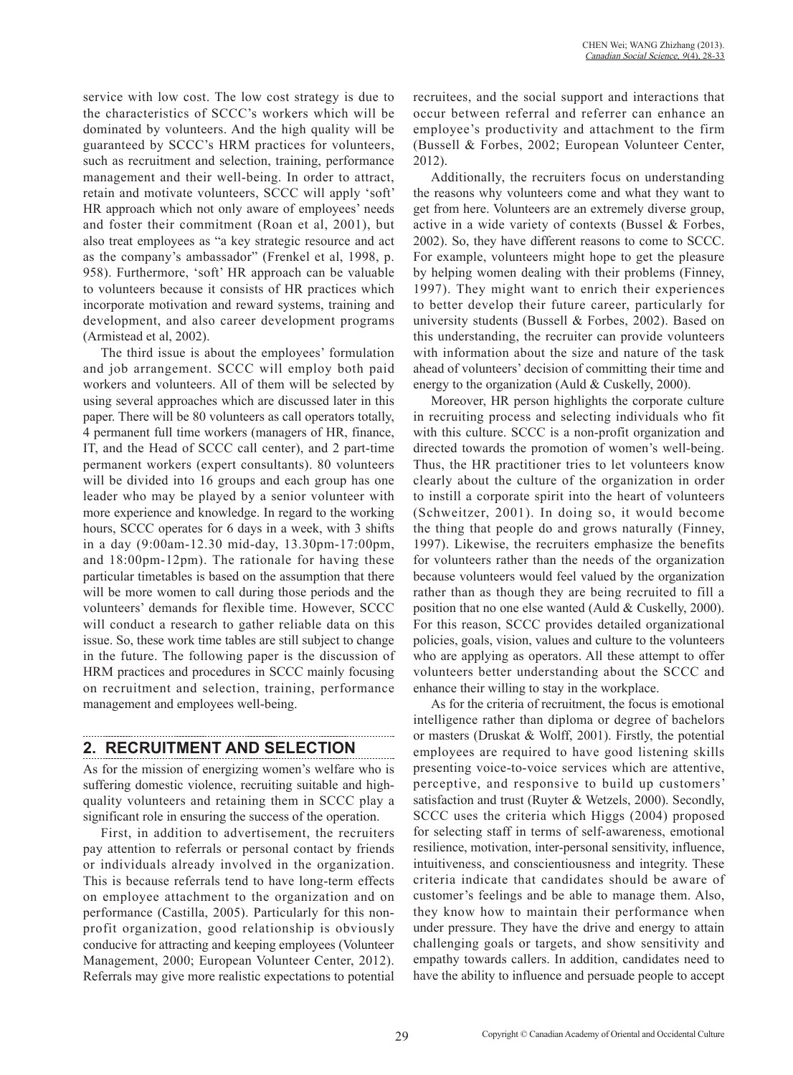service with low cost. The low cost strategy is due to the characteristics of SCCC's workers which will be dominated by volunteers. And the high quality will be guaranteed by SCCC's HRM practices for volunteers, such as recruitment and selection, training, performance management and their well-being. In order to attract, retain and motivate volunteers, SCCC will apply 'soft' HR approach which not only aware of employees' needs and foster their commitment (Roan et al, 2001), but also treat employees as "a key strategic resource and act as the company's ambassador" (Frenkel et al, 1998, p. 958). Furthermore, 'soft' HR approach can be valuable to volunteers because it consists of HR practices which incorporate motivation and reward systems, training and development, and also career development programs (Armistead et al, 2002).

The third issue is about the employees' formulation and job arrangement. SCCC will employ both paid workers and volunteers. All of them will be selected by using several approaches which are discussed later in this paper. There will be 80 volunteers as call operators totally, 4 permanent full time workers (managers of HR, finance, IT, and the Head of SCCC call center), and 2 part-time permanent workers (expert consultants). 80 volunteers will be divided into 16 groups and each group has one leader who may be played by a senior volunteer with more experience and knowledge. In regard to the working hours, SCCC operates for 6 days in a week, with 3 shifts in a day (9:00am-12.30 mid-day, 13.30pm-17:00pm, and 18:00pm-12pm). The rationale for having these particular timetables is based on the assumption that there will be more women to call during those periods and the volunteers' demands for flexible time. However, SCCC will conduct a research to gather reliable data on this issue. So, these work time tables are still subject to change in the future. The following paper is the discussion of HRM practices and procedures in SCCC mainly focusing on recruitment and selection, training, performance management and employees well-being.

## **2. RECRUITMENT AND SELECTION**

As for the mission of energizing women's welfare who is suffering domestic violence, recruiting suitable and highquality volunteers and retaining them in SCCC play a significant role in ensuring the success of the operation.

First, in addition to advertisement, the recruiters pay attention to referrals or personal contact by friends or individuals already involved in the organization. This is because referrals tend to have long-term effects on employee attachment to the organization and on performance (Castilla, 2005). Particularly for this nonprofit organization, good relationship is obviously conducive for attracting and keeping employees (Volunteer Management, 2000; European Volunteer Center, 2012). Referrals may give more realistic expectations to potential

recruitees, and the social support and interactions that occur between referral and referrer can enhance an employee's productivity and attachment to the firm (Bussell & Forbes, 2002; European Volunteer Center, 2012).

Additionally, the recruiters focus on understanding the reasons why volunteers come and what they want to get from here. Volunteers are an extremely diverse group, active in a wide variety of contexts (Bussel & Forbes, 2002). So, they have different reasons to come to SCCC. For example, volunteers might hope to get the pleasure by helping women dealing with their problems (Finney, 1997). They might want to enrich their experiences to better develop their future career, particularly for university students (Bussell & Forbes, 2002). Based on this understanding, the recruiter can provide volunteers with information about the size and nature of the task ahead of volunteers' decision of committing their time and energy to the organization (Auld & Cuskelly, 2000).

Moreover, HR person highlights the corporate culture in recruiting process and selecting individuals who fit with this culture. SCCC is a non-profit organization and directed towards the promotion of women's well-being. Thus, the HR practitioner tries to let volunteers know clearly about the culture of the organization in order to instill a corporate spirit into the heart of volunteers (Schweitzer, 2001). In doing so, it would become the thing that people do and grows naturally (Finney, 1997). Likewise, the recruiters emphasize the benefits for volunteers rather than the needs of the organization because volunteers would feel valued by the organization rather than as though they are being recruited to fill a position that no one else wanted (Auld & Cuskelly, 2000). For this reason, SCCC provides detailed organizational policies, goals, vision, values and culture to the volunteers who are applying as operators. All these attempt to offer volunteers better understanding about the SCCC and enhance their willing to stay in the workplace.

As for the criteria of recruitment, the focus is emotional intelligence rather than diploma or degree of bachelors or masters (Druskat & Wolff, 2001). Firstly, the potential employees are required to have good listening skills presenting voice-to-voice services which are attentive, perceptive, and responsive to build up customers' satisfaction and trust (Ruyter & Wetzels, 2000). Secondly, SCCC uses the criteria which Higgs (2004) proposed for selecting staff in terms of self-awareness, emotional resilience, motivation, inter-personal sensitivity, influence, intuitiveness, and conscientiousness and integrity. These criteria indicate that candidates should be aware of customer's feelings and be able to manage them. Also, they know how to maintain their performance when under pressure. They have the drive and energy to attain challenging goals or targets, and show sensitivity and empathy towards callers. In addition, candidates need to have the ability to influence and persuade people to accept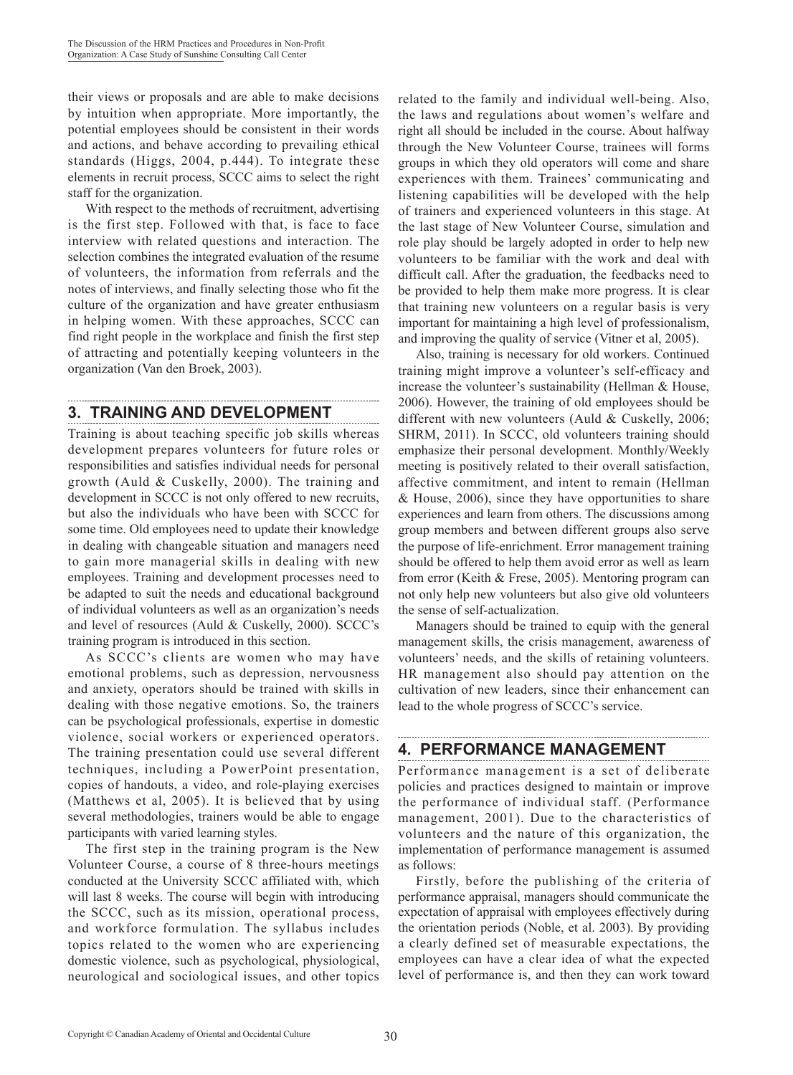their views or proposals and are able to make decisions by intuition when appropriate. More importantly, the potential employees should be consistent in their words and actions, and behave according to prevailing ethical standards (Higgs, 2004, p.444). To integrate these elements in recruit process, SCCC aims to select the right staff for the organization.

With respect to the methods of recruitment, advertising is the first step. Followed with that, is face to face interview with related questions and interaction. The selection combines the integrated evaluation of the resume of volunteers, the information from referrals and the notes of interviews, and finally selecting those who fit the culture of the organization and have greater enthusiasm in helping women. With these approaches, SCCC can find right people in the workplace and finish the first step of attracting and potentially keeping volunteers in the organization (Van den Broek, 2003).

# **3. TRAINING AND DEVELOPMENT**

Training is about teaching specific job skills whereas development prepares volunteers for future roles or responsibilities and satisfies individual needs for personal growth (Auld & Cuskelly, 2000). The training and development in SCCC is not only offered to new recruits, but also the individuals who have been with SCCC for some time. Old employees need to update their knowledge in dealing with changeable situation and managers need to gain more managerial skills in dealing with new employees. Training and development processes need to be adapted to suit the needs and educational background of individual volunteers as well as an organization's needs and level of resources (Auld & Cuskelly, 2000). SCCC's training program is introduced in this section.

As SCCC's clients are women who may have emotional problems, such as depression, nervousness and anxiety, operators should be trained with skills in dealing with those negative emotions. So, the trainers can be psychological professionals, expertise in domestic violence, social workers or experienced operators. The training presentation could use several different techniques, including a PowerPoint presentation, copies of handouts, a video, and role-playing exercises (Matthews et al, 2005). It is believed that by using several methodologies, trainers would be able to engage participants with varied learning styles.

The first step in the training program is the New Volunteer Course, a course of 8 three-hours meetings conducted at the University SCCC affiliated with, which will last 8 weeks. The course will begin with introducing the SCCC, such as its mission, operational process, and workforce formulation. The syllabus includes topics related to the women who are experiencing domestic violence, such as psychological, physiological, neurological and sociological issues, and other topics related to the family and individual well-being. Also, the laws and regulations about women's welfare and right all should be included in the course. About halfway through the New Volunteer Course, trainees will forms groups in which they old operators will come and share experiences with them. Trainees' communicating and listening capabilities will be developed with the help of trainers and experienced volunteers in this stage. At the last stage of New Volunteer Course, simulation and role play should be largely adopted in order to help new volunteers to be familiar with the work and deal with difficult call. After the graduation, the feedbacks need to be provided to help them make more progress. It is clear that training new volunteers on a regular basis is very important for maintaining a high level of professionalism, and improving the quality of service (Vitner et al, 2005).

Also, training is necessary for old workers. Continued training might improve a volunteer's self-efficacy and increase the volunteer's sustainability (Hellman & House, 2006). However, the training of old employees should be different with new volunteers (Auld & Cuskelly, 2006; SHRM, 2011). In SCCC, old volunteers training should emphasize their personal development. Monthly/Weekly meeting is positively related to their overall satisfaction, affective commitment, and intent to remain (Hellman & House, 2006), since they have opportunities to share experiences and learn from others. The discussions among group members and between different groups also serve the purpose of life-enrichment. Error management training should be offered to help them avoid error as well as learn from error (Keith & Frese, 2005). Mentoring program can not only help new volunteers but also give old volunteers the sense of self-actualization.

Managers should be trained to equip with the general management skills, the crisis management, awareness of volunteers' needs, and the skills of retaining volunteers. HR management also should pay attention on the cultivation of new leaders, since their enhancement can lead to the whole progress of SCCC's service.

# **4. PERFORMANCE MANAGEMENT**

Performance management is a set of deliberate policies and practices designed to maintain or improve the performance of individual staff. (Performance management, 2001). Due to the characteristics of volunteers and the nature of this organization, the implementation of performance management is assumed as follows:

Firstly, before the publishing of the criteria of performance appraisal, managers should communicate the expectation of appraisal with employees effectively during the orientation periods (Noble, et al. 2003). By providing a clearly defined set of measurable expectations, the employees can have a clear idea of what the expected level of performance is, and then they can work toward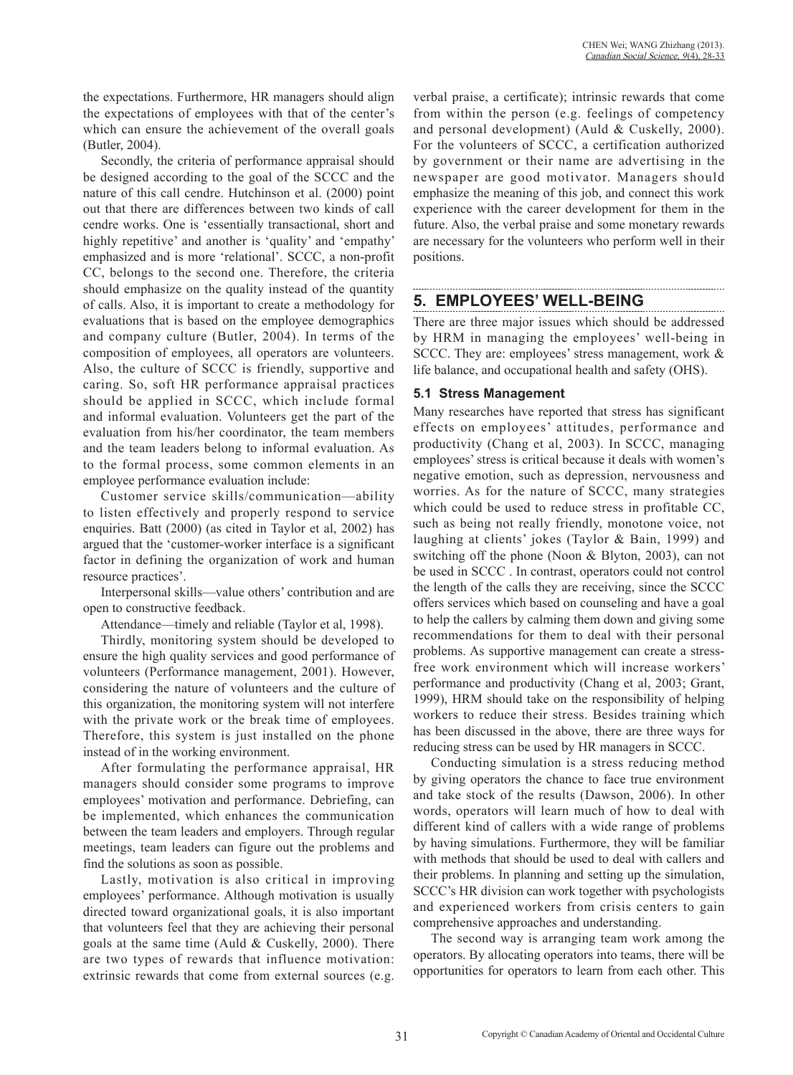the expectations. Furthermore, HR managers should align the expectations of employees with that of the center's which can ensure the achievement of the overall goals (Butler, 2004).

Secondly, the criteria of performance appraisal should be designed according to the goal of the SCCC and the nature of this call cendre. Hutchinson et al. (2000) point out that there are differences between two kinds of call cendre works. One is 'essentially transactional, short and highly repetitive' and another is 'quality' and 'empathy' emphasized and is more 'relational'. SCCC, a non-profit CC, belongs to the second one. Therefore, the criteria should emphasize on the quality instead of the quantity of calls. Also, it is important to create a methodology for evaluations that is based on the employee demographics and company culture (Butler, 2004). In terms of the composition of employees, all operators are volunteers. Also, the culture of SCCC is friendly, supportive and caring. So, soft HR performance appraisal practices should be applied in SCCC, which include formal and informal evaluation. Volunteers get the part of the evaluation from his/her coordinator, the team members and the team leaders belong to informal evaluation. As to the formal process, some common elements in an employee performance evaluation include:

Customer service skills/communication—ability to listen effectively and properly respond to service enquiries. Batt (2000) (as cited in Taylor et al, 2002) has argued that the 'customer-worker interface is a significant factor in defining the organization of work and human resource practices'.

Interpersonal skills—value others' contribution and are open to constructive feedback.

Attendance—timely and reliable (Taylor et al, 1998).

Thirdly, monitoring system should be developed to ensure the high quality services and good performance of volunteers (Performance management, 2001). However, considering the nature of volunteers and the culture of this organization, the monitoring system will not interfere with the private work or the break time of employees. Therefore, this system is just installed on the phone instead of in the working environment.

After formulating the performance appraisal, HR managers should consider some programs to improve employees' motivation and performance. Debriefing, can be implemented, which enhances the communication between the team leaders and employers. Through regular meetings, team leaders can figure out the problems and find the solutions as soon as possible.

Lastly, motivation is also critical in improving employees' performance. Although motivation is usually directed toward organizational goals, it is also important that volunteers feel that they are achieving their personal goals at the same time (Auld & Cuskelly, 2000). There are two types of rewards that influence motivation: extrinsic rewards that come from external sources (e.g.

verbal praise, a certificate); intrinsic rewards that come from within the person (e.g. feelings of competency and personal development) (Auld & Cuskelly, 2000). For the volunteers of SCCC, a certification authorized by government or their name are advertising in the newspaper are good motivator. Managers should emphasize the meaning of this job, and connect this work experience with the career development for them in the future. Also, the verbal praise and some monetary rewards are necessary for the volunteers who perform well in their positions.

### **5. EMPLOYEES' WELL-BEING**

There are three major issues which should be addressed by HRM in managing the employees' well-being in SCCC. They are: employees' stress management, work & life balance, and occupational health and safety (OHS).

#### **5.1 Stress Management**

Many researches have reported that stress has significant effects on employees' attitudes, performance and productivity (Chang et al, 2003). In SCCC, managing employees' stress is critical because it deals with women's negative emotion, such as depression, nervousness and worries. As for the nature of SCCC, many strategies which could be used to reduce stress in profitable CC, such as being not really friendly, monotone voice, not laughing at clients' jokes (Taylor & Bain, 1999) and switching off the phone (Noon & Blyton, 2003), can not be used in SCCC . In contrast, operators could not control the length of the calls they are receiving, since the SCCC offers services which based on counseling and have a goal to help the callers by calming them down and giving some recommendations for them to deal with their personal problems. As supportive management can create a stressfree work environment which will increase workers' performance and productivity (Chang et al, 2003; Grant, 1999), HRM should take on the responsibility of helping workers to reduce their stress. Besides training which has been discussed in the above, there are three ways for reducing stress can be used by HR managers in SCCC.

Conducting simulation is a stress reducing method by giving operators the chance to face true environment and take stock of the results (Dawson, 2006). In other words, operators will learn much of how to deal with different kind of callers with a wide range of problems by having simulations. Furthermore, they will be familiar with methods that should be used to deal with callers and their problems. In planning and setting up the simulation, SCCC's HR division can work together with psychologists and experienced workers from crisis centers to gain comprehensive approaches and understanding.

The second way is arranging team work among the operators. By allocating operators into teams, there will be opportunities for operators to learn from each other. This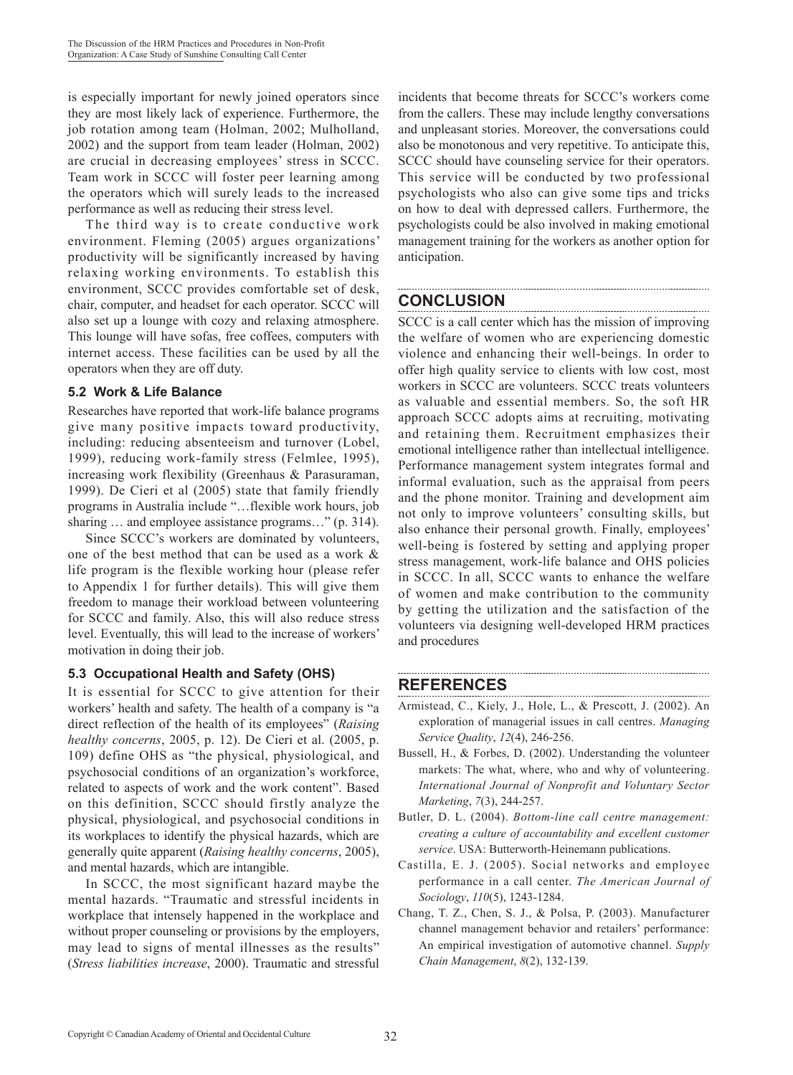is especially important for newly joined operators since they are most likely lack of experience. Furthermore, the job rotation among team (Holman, 2002; Mulholland, 2002) and the support from team leader (Holman, 2002) are crucial in decreasing employees' stress in SCCC. Team work in SCCC will foster peer learning among the operators which will surely leads to the increased performance as well as reducing their stress level.

The third way is to create conductive work environment. Fleming (2005) argues organizations' productivity will be significantly increased by having relaxing working environments. To establish this environment, SCCC provides comfortable set of desk, chair, computer, and headset for each operator. SCCC will also set up a lounge with cozy and relaxing atmosphere. This lounge will have sofas, free coffees, computers with internet access. These facilities can be used by all the operators when they are off duty.

### **5.2 Work & Life Balance**

Researches have reported that work-life balance programs give many positive impacts toward productivity, including: reducing absenteeism and turnover (Lobel, 1999), reducing work-family stress (Felmlee, 1995), increasing work flexibility (Greenhaus & Parasuraman, 1999). De Cieri et al (2005) state that family friendly programs in Australia include "…flexible work hours, job sharing ... and employee assistance programs..." (p. 314).

Since SCCC's workers are dominated by volunteers, one of the best method that can be used as a work & life program is the flexible working hour (please refer to Appendix 1 for further details). This will give them freedom to manage their workload between volunteering for SCCC and family. Also, this will also reduce stress level. Eventually, this will lead to the increase of workers' motivation in doing their job.

### **5.3 Occupational Health and Safety (OHS)**

It is essential for SCCC to give attention for their workers' health and safety. The health of a company is "a direct reflection of the health of its employees" (*Raising healthy concerns*, 2005, p. 12). De Cieri et al. (2005, p. 109) define OHS as "the physical, physiological, and psychosocial conditions of an organization's workforce, related to aspects of work and the work content". Based on this definition, SCCC should firstly analyze the physical, physiological, and psychosocial conditions in its workplaces to identify the physical hazards, which are generally quite apparent (*Raising healthy concerns*, 2005), and mental hazards, which are intangible.

In SCCC, the most significant hazard maybe the mental hazards. "Traumatic and stressful incidents in workplace that intensely happened in the workplace and without proper counseling or provisions by the employers, may lead to signs of mental illnesses as the results" (*Stress liabilities increase*, 2000). Traumatic and stressful

incidents that become threats for SCCC's workers come from the callers. These may include lengthy conversations and unpleasant stories. Moreover, the conversations could also be monotonous and very repetitive. To anticipate this, SCCC should have counseling service for their operators. This service will be conducted by two professional psychologists who also can give some tips and tricks on how to deal with depressed callers. Furthermore, the psychologists could be also involved in making emotional management training for the workers as another option for anticipation.

# **CONCLUSION**

SCCC is a call center which has the mission of improving the welfare of women who are experiencing domestic violence and enhancing their well-beings. In order to offer high quality service to clients with low cost, most workers in SCCC are volunteers. SCCC treats volunteers as valuable and essential members. So, the soft HR approach SCCC adopts aims at recruiting, motivating and retaining them. Recruitment emphasizes their emotional intelligence rather than intellectual intelligence. Performance management system integrates formal and informal evaluation, such as the appraisal from peers and the phone monitor. Training and development aim not only to improve volunteers' consulting skills, but also enhance their personal growth. Finally, employees' well-being is fostered by setting and applying proper stress management, work-life balance and OHS policies in SCCC. In all, SCCC wants to enhance the welfare of women and make contribution to the community by getting the utilization and the satisfaction of the volunteers via designing well-developed HRM practices and procedures

## **REFERENCES**

- Armistead, C., Kiely, J., Hole, L., & Prescott, J. (2002). An exploration of managerial issues in call centres. *Managing Service Quality*, *12*(4), 246-256.
- Bussell, H., & Forbes, D. (2002). Understanding the volunteer markets: The what, where, who and why of volunteering. *International Journal of Nonprofit and Voluntary Sector Marketing*, *7*(3), 244-257.
- Butler, D. L. (2004). *Bottom-line call centre management: creating a culture of accountability and excellent customer service*. USA: Butterworth-Heinemann publications.
- Castilla, E. J. (2005). Social networks and employee performance in a call center. *The American Journal of Sociology*, *110*(5), 1243-1284.
- Chang, T. Z., Chen, S. J., & Polsa, P. (2003). Manufacturer channel management behavior and retailers' performance: An empirical investigation of automotive channel. *Supply Chain Management*, *8*(2), 132-139.